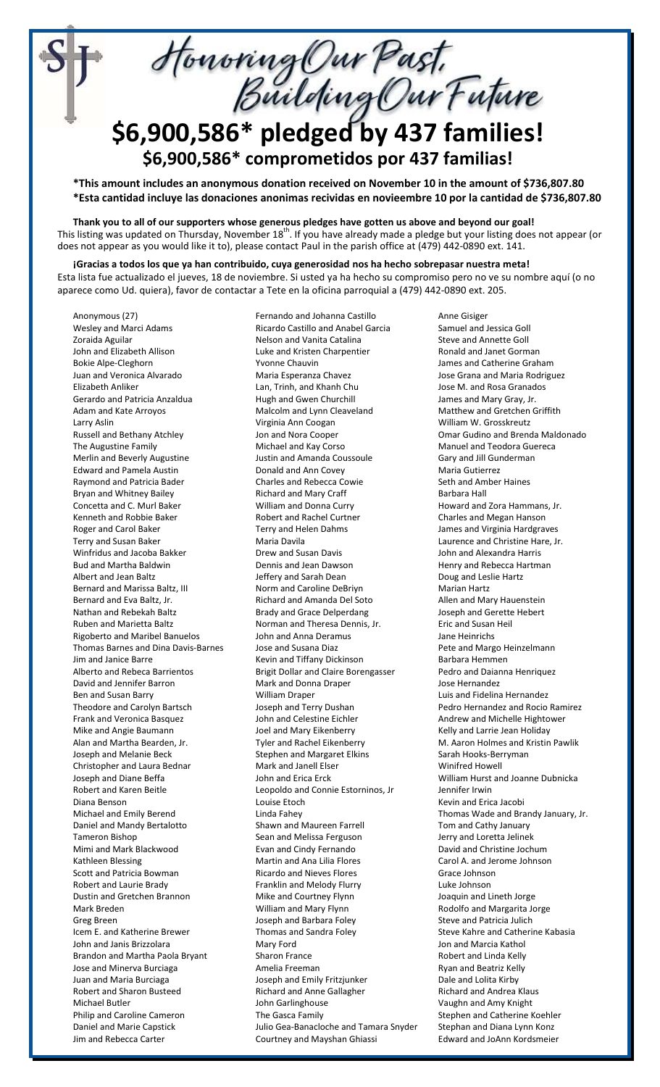Honoring Our Past.<br>Building Our Future

## **\$6,900,586\* pledged by 437 families! \$6,900,586\* comprometidos por 437 familias!**

**\*This amount includes an anonymous donation received on November 10 in the amount of \$736,807.80 \*Esta cantidad incluye las donaciones anonimas recividas en novieembre 10 por la cantidad de \$736,807.80**

**Thank you to all of our supporters whose generous pledges have gotten us above and beyond our goal!** This listing was updated on Thursday, November 18<sup>th</sup>. If you have already made a pledge but your listing does not appear (or does not appear as you would like it to), please contact Paul in the parish office at (479) 442-0890 ext. 141.

**¡Gracias a todos los que ya han contribuido, cuya generosidad nos ha hecho sobrepasar nuestra meta!** Esta lista fue actualizado el jueves, 18 de noviembre. Si usted ya ha hecho su compromiso pero no ve su nombre aquí (o no aparece como Ud. quiera), favor de contactar a Tete en la oficina parroquial a (479) 442-0890 ext. 205.

Anonymous (27) Wesley and Marci Adams Zoraida Aguilar John and Elizabeth Allison Bokie Alpe-Cleghorn Juan and Veronica Alvarado Elizabeth Anliker Gerardo and Patricia Anzaldua Adam and Kate Arroyos Larry Aslin Russell and Bethany Atchley The Augustine Family Merlin and Beverly Augustine Edward and Pamela Austin Raymond and Patricia Bader Bryan and Whitney Bailey Concetta and C. Murl Baker Kenneth and Robbie Baker Roger and Carol Baker Terry and Susan Baker Winfridus and Jacoba Bakker Bud and Martha Baldwin Albert and Jean Baltz Bernard and Marissa Baltz, III Bernard and Eva Baltz, Jr. Nathan and Rebekah Baltz Ruben and Marietta Baltz Rigoberto and Maribel Banuelos Thomas Barnes and Dina Davis-Barnes Jim and Janice Barre Alberto and Rebeca Barrientos David and Jennifer Barron Ben and Susan Barry Theodore and Carolyn Bartsch Frank and Veronica Basquez Mike and Angie Baumann Alan and Martha Bearden, Jr. Joseph and Melanie Beck Christopher and Laura Bednar Joseph and Diane Beffa Robert and Karen Beitle Diana Benson Michael and Emily Berend Daniel and Mandy Bertalotto Tameron Bishop Mimi and Mark Blackwood Kathleen Blessing Scott and Patricia Bowman Robert and Laurie Brady Dustin and Gretchen Brannon Mark Breden Greg Breen Icem E. and Katherine Brewer John and Janis Brizzolara Brandon and Martha Paola Bryant Jose and Minerva Burciaga Juan and Maria Burciaga Robert and Sharon Busteed Michael Butler Philip and Caroline Cameron Daniel and Marie Capstick Jim and Rebecca Carter

Fernando and Johanna Castillo Ricardo Castillo and Anabel Garcia Nelson and Vanita Catalina Luke and Kristen Charpentier Yvonne Chauvin Maria Esperanza Chavez Lan, Trinh, and Khanh Chu Hugh and Gwen Churchill Malcolm and Lynn Cleaveland Virginia Ann Coogan Jon and Nora Cooper Michael and Kay Corso Justin and Amanda Coussoule Donald and Ann Covey Charles and Rebecca Cowie Richard and Mary Craff William and Donna Curry Robert and Rachel Curtner Terry and Helen Dahms Maria Davila Drew and Susan Davis Dennis and Jean Dawson Jeffery and Sarah Dean Norm and Caroline DeBriyn Richard and Amanda Del Soto Brady and Grace Delperdang Norman and Theresa Dennis, Jr. John and Anna Deramus Jose and Susana Diaz Kevin and Tiffany Dickinson Brigit Dollar and Claire Borengasser Mark and Donna Draper William Draper Joseph and Terry Dushan John and Celestine Eichler Joel and Mary Eikenberry Tyler and Rachel Eikenberry Stephen and Margaret Elkins Mark and Janell Elser John and Erica Erck Leopoldo and Connie Estorninos, Jr Louise Etoch Linda Fahey Shawn and Maureen Farrell Sean and Melissa Ferguson Evan and Cindy Fernando Martin and Ana Lilia Flores Ricardo and Nieves Flores Franklin and Melody Flurry Mike and Courtney Flynn William and Mary Flynn Joseph and Barbara Foley Thomas and Sandra Foley Mary Ford Sharon France Amelia Freeman Joseph and Emily Fritzjunker Richard and Anne Gallagher John Garlinghouse The Gasca Family Julio Gea-Banacloche and Tamara Snyder Courtney and Mayshan Ghiassi

Anne Gisiger Samuel and Jessica Goll Steve and Annette Goll Ronald and Janet Gorman James and Catherine Graham Jose Grana and Maria Rodriguez Jose M. and Rosa Granados James and Mary Gray, Jr. Matthew and Gretchen Griffith William W. Grosskreutz Omar Gudino and Brenda Maldonado Manuel and Teodora Guereca Gary and Jill Gunderman Maria Gutierrez Seth and Amber Haines Barbara Hall Howard and Zora Hammans, Jr. Charles and Megan Hanson James and Virginia Hardgraves Laurence and Christine Hare, Jr. John and Alexandra Harris Henry and Rebecca Hartman Doug and Leslie Hartz Marian Hartz Allen and Mary Hauenstein Joseph and Gerette Hebert Eric and Susan Heil Jane Heinrichs Pete and Margo Heinzelmann Barbara Hemmen Pedro and Daianna Henriquez Jose Hernandez Luis and Fidelina Hernandez Pedro Hernandez and Rocio Ramirez Andrew and Michelle Hightower Kelly and Larrie Jean Holiday M. Aaron Holmes and Kristin Pawlik Sarah Hooks-Berryman Winifred Howell William Hurst and Joanne Dubnicka Jennifer Irwin Kevin and Erica Jacobi Thomas Wade and Brandy January, Jr. Tom and Cathy January Jerry and Loretta Jelinek David and Christine Jochum Carol A. and Jerome Johnson Grace Johnson Luke Johnson Joaquin and Lineth Jorge Rodolfo and Margarita Jorge Steve and Patricia Julich Steve Kahre and Catherine Kabasia Jon and Marcia Kathol Robert and Linda Kelly Ryan and Beatriz Kelly Dale and Lolita Kirby Richard and Andrea Klaus Vaughn and Amy Knight Stephen and Catherine Koehler Stephan and Diana Lynn Konz Edward and JoAnn Kordsmeier